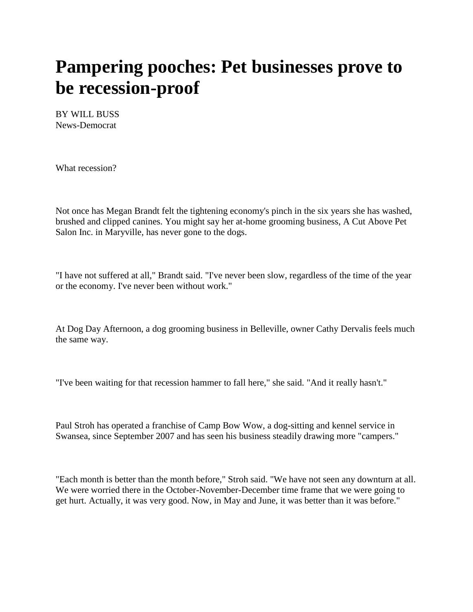## **Pampering pooches: Pet businesses prove to be recession-proof**

BY WILL BUSS News-Democrat

What recession?

Not once has Megan Brandt felt the tightening economy's pinch in the six years she has washed, brushed and clipped canines. You might say her at-home grooming business, A Cut Above Pet Salon Inc. in Maryville, has never gone to the dogs.

"I have not suffered at all," Brandt said. "I've never been slow, regardless of the time of the year or the economy. I've never been without work."

At Dog Day Afternoon, a dog grooming business in Belleville, owner Cathy Dervalis feels much the same way.

"I've been waiting for that recession hammer to fall here," she said. "And it really hasn't."

Paul Stroh has operated a franchise of Camp Bow Wow, a dog-sitting and kennel service in Swansea, since September 2007 and has seen his business steadily drawing more "campers."

"Each month is better than the month before," Stroh said. "We have not seen any downturn at all. We were worried there in the October-November-December time frame that we were going to get hurt. Actually, it was very good. Now, in May and June, it was better than it was before."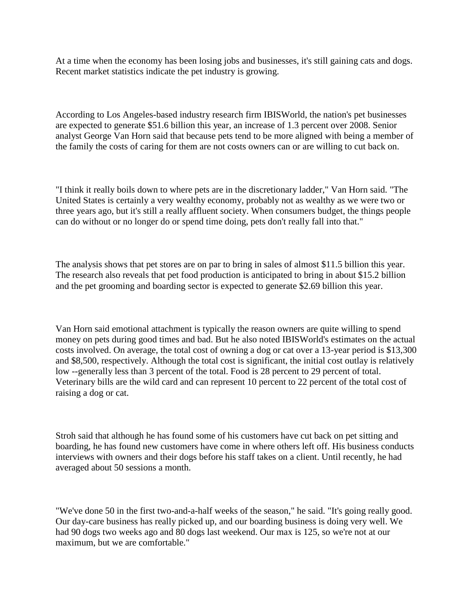At a time when the economy has been losing jobs and businesses, it's still gaining cats and dogs. Recent market statistics indicate the pet industry is growing.

According to Los Angeles-based industry research firm IBISWorld, the nation's pet businesses are expected to generate \$51.6 billion this year, an increase of 1.3 percent over 2008. Senior analyst George Van Horn said that because pets tend to be more aligned with being a member of the family the costs of caring for them are not costs owners can or are willing to cut back on.

"I think it really boils down to where pets are in the discretionary ladder," Van Horn said. "The United States is certainly a very wealthy economy, probably not as wealthy as we were two or three years ago, but it's still a really affluent society. When consumers budget, the things people can do without or no longer do or spend time doing, pets don't really fall into that."

The analysis shows that pet stores are on par to bring in sales of almost \$11.5 billion this year. The research also reveals that pet food production is anticipated to bring in about \$15.2 billion and the pet grooming and boarding sector is expected to generate \$2.69 billion this year.

Van Horn said emotional attachment is typically the reason owners are quite willing to spend money on pets during good times and bad. But he also noted IBISWorld's estimates on the actual costs involved. On average, the total cost of owning a dog or cat over a 13-year period is \$13,300 and \$8,500, respectively. Although the total cost is significant, the initial cost outlay is relatively low --generally less than 3 percent of the total. Food is 28 percent to 29 percent of total. Veterinary bills are the wild card and can represent 10 percent to 22 percent of the total cost of raising a dog or cat.

Stroh said that although he has found some of his customers have cut back on pet sitting and boarding, he has found new customers have come in where others left off. His business conducts interviews with owners and their dogs before his staff takes on a client. Until recently, he had averaged about 50 sessions a month.

"We've done 50 in the first two-and-a-half weeks of the season," he said. "It's going really good. Our day-care business has really picked up, and our boarding business is doing very well. We had 90 dogs two weeks ago and 80 dogs last weekend. Our max is 125, so we're not at our maximum, but we are comfortable."